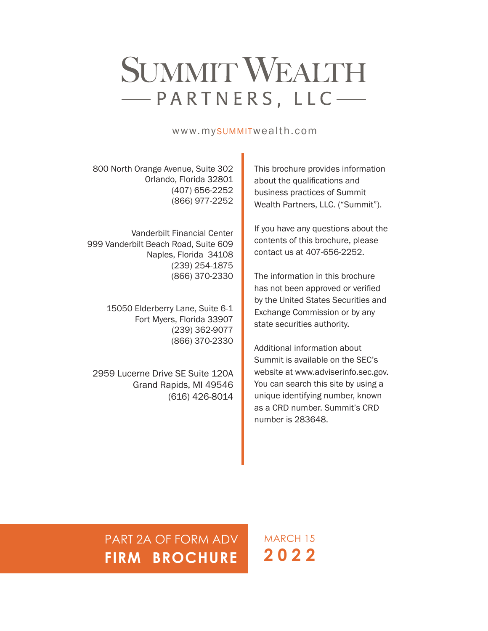# SUMMIT WEALTH -PARTNERS, LLC-

# www.mySUMMITwealth.com

800 North Orange Avenue, Suite 302 Orlando, Florida 32801 (407) 656-2252 (866) 977-2252

Vanderbilt Financial Center 999 Vanderbilt Beach Road, Suite 609 Naples, Florida 34108 (239) 254-1875 (866) 370-2330

> 15050 Elderberry Lane, Suite 6-1 Fort Myers, Florida 33907 (239) 362-9077 (866) 370-2330

2959 Lucerne Drive SE Suite 120A Grand Rapids, MI 49546 (616) 426-8014 This brochure provides information about the qualifications and business practices of Summit Wealth Partners, LLC. ("Summit").

If you have any questions about the contents of this brochure, please contact us at 407-656-2252.

The information in this brochure has not been approved or verified by the United States Securities and Exchange Commission or by any state securities authority.

Additional information about Summit is available on the SEC's website at www.adviserinfo.sec.gov. You can search this site by using a unique identifying number, known as a CRD number. Summit's CRD number is 283648.

PART 2A OF FORM ADV **FIRM BROCHURE**

MARCH 15 **2022**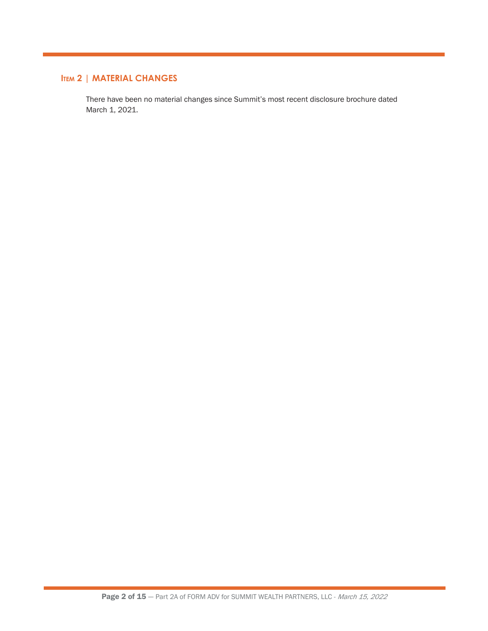# **Item 2 | MATERIAL CHANGES**

There have been no material changes since Summit's most recent disclosure brochure dated March 1, 2021.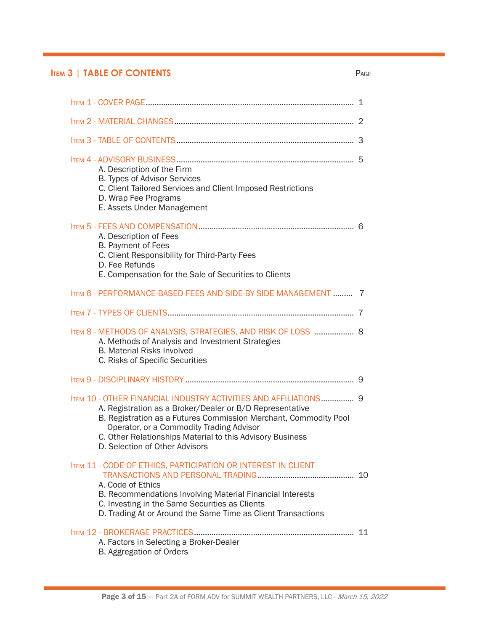# **ITEM 3 | TABLE OF CONTENTS** PAGE PAGE OF CONTENTS

| A. Description of the Firm<br>B. Types of Advisor Services<br>C. Client Tailored Services and Client Imposed Restrictions<br>D. Wrap Fee Programs<br>E. Assets Under Management                                                                                                                                                             |  |
|---------------------------------------------------------------------------------------------------------------------------------------------------------------------------------------------------------------------------------------------------------------------------------------------------------------------------------------------|--|
| A. Description of Fees<br>B. Payment of Fees<br>C. Client Responsibility for Third-Party Fees<br>D. Fee Refunds<br>E. Compensation for the Sale of Securities to Clients                                                                                                                                                                    |  |
| <b>ITEM 6 - PERFORMANCE-BASED FEES AND SIDE-BY-SIDE MANAGEMENT  7</b>                                                                                                                                                                                                                                                                       |  |
|                                                                                                                                                                                                                                                                                                                                             |  |
| ITEM 8 - METHODS OF ANALYSIS, STRATEGIES, AND RISK OF LOSS  8<br>A. Methods of Analysis and Investment Strategies<br><b>B. Material Risks Involved</b><br>C. Risks of Specific Securities                                                                                                                                                   |  |
|                                                                                                                                                                                                                                                                                                                                             |  |
| ITEM 10 - OTHER FINANCIAL INDUSTRY ACTIVITIES AND AFFILIATIONS 9<br>A. Registration as a Broker/Dealer or B/D Representative<br>B. Registration as a Futures Commission Merchant, Commodity Pool<br>Operator, or a Commodity Trading Advisor<br>C. Other Relationships Material to this Advisory Business<br>D. Selection of Other Advisors |  |
| <b>ITEM 11 - CODE OF ETHICS, PARTICIPATION OR INTEREST IN CLIENT</b><br>A. Code of Ethics<br>B. Recommendations Involving Material Financial Interests<br>C. Investing in the Same Securities as Clients<br>D. Trading At or Around the Same Time as Client Transactions                                                                    |  |
| A. Factors in Selecting a Broker-Dealer<br>B. Aggregation of Orders                                                                                                                                                                                                                                                                         |  |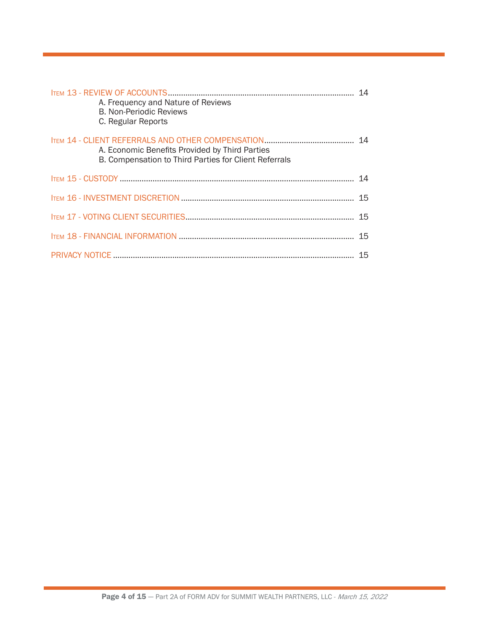| A. Frequency and Nature of Reviews<br><b>B. Non-Periodic Reviews</b><br>C. Regular Reports              |  |
|---------------------------------------------------------------------------------------------------------|--|
| A. Economic Benefits Provided by Third Parties<br>B. Compensation to Third Parties for Client Referrals |  |
|                                                                                                         |  |
|                                                                                                         |  |
|                                                                                                         |  |
|                                                                                                         |  |
|                                                                                                         |  |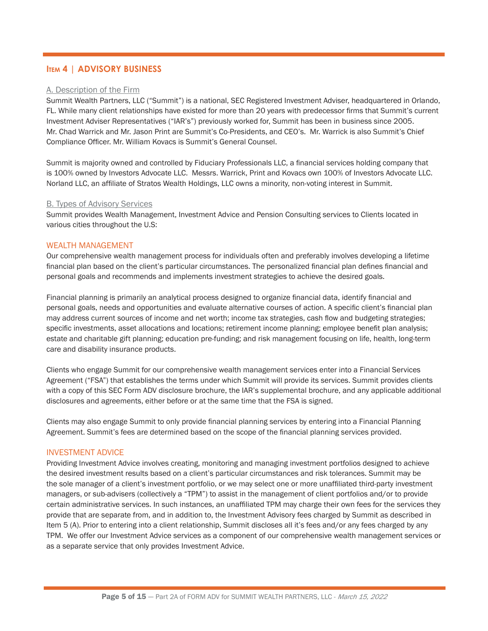## **Item 4 | ADVISORY BUSINESS**

#### A. Description of the Firm

Summit Wealth Partners, LLC ("Summit") is a national, SEC Registered Investment Adviser, headquartered in Orlando, FL. While many client relationships have existed for more than 20 years with predecessor firms that Summit's current Investment Adviser Representatives ("IAR's") previously worked for, Summit has been in business since 2005. Mr. Chad Warrick and Mr. Jason Print are Summit's Co-Presidents, and CEO's. Mr. Warrick is also Summit's Chief Compliance Officer. Mr. William Kovacs is Summit's General Counsel.

Summit is majority owned and controlled by Fiduciary Professionals LLC, a financial services holding company that is 100% owned by Investors Advocate LLC. Messrs. Warrick, Print and Kovacs own 100% of Investors Advocate LLC. Norland LLC, an affiliate of Stratos Wealth Holdings, LLC owns a minority, non-voting interest in Summit.

#### B. Types of Advisory Services

Summit provides Wealth Management, Investment Advice and Pension Consulting services to Clients located in various cities throughout the U.S:

#### WEALTH MANAGEMENT

Our comprehensive wealth management process for individuals often and preferably involves developing a lifetime financial plan based on the client's particular circumstances. The personalized financial plan defines financial and personal goals and recommends and implements investment strategies to achieve the desired goals.

Financial planning is primarily an analytical process designed to organize financial data, identify financial and personal goals, needs and opportunities and evaluate alternative courses of action. A specific client's financial plan may address current sources of income and net worth; income tax strategies, cash flow and budgeting strategies; specific investments, asset allocations and locations; retirement income planning; employee benefit plan analysis; estate and charitable gift planning; education pre-funding; and risk management focusing on life, health, long-term care and disability insurance products.

Clients who engage Summit for our comprehensive wealth management services enter into a Financial Services Agreement ("FSA") that establishes the terms under which Summit will provide its services. Summit provides clients with a copy of this SEC Form ADV disclosure brochure, the IAR's supplemental brochure, and any applicable additional disclosures and agreements, either before or at the same time that the FSA is signed.

Clients may also engage Summit to only provide financial planning services by entering into a Financial Planning Agreement. Summit's fees are determined based on the scope of the financial planning services provided.

#### INVESTMENT ADVICE

Providing Investment Advice involves creating, monitoring and managing investment portfolios designed to achieve the desired investment results based on a client's particular circumstances and risk tolerances. Summit may be the sole manager of a client's investment portfolio, or we may select one or more unaffiliated third-party investment managers, or sub-advisers (collectively a "TPM") to assist in the management of client portfolios and/or to provide certain administrative services. In such instances, an unaffiliated TPM may charge their own fees for the services they provide that are separate from, and in addition to, the Investment Advisory fees charged by Summit as described in Item 5 (A). Prior to entering into a client relationship, Summit discloses all it's fees and/or any fees charged by any TPM. We offer our Investment Advice services as a component of our comprehensive wealth management services or as a separate service that only provides Investment Advice.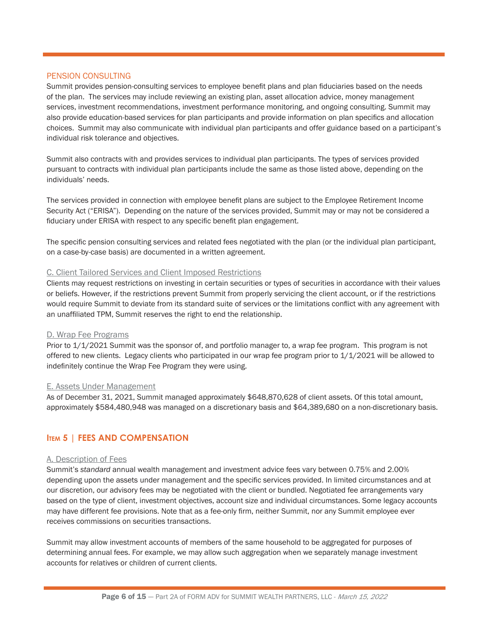#### PENSION CONSULTING

Summit provides pension-consulting services to employee benefit plans and plan fiduciaries based on the needs of the plan. The services may include reviewing an existing plan, asset allocation advice, money management services, investment recommendations, investment performance monitoring, and ongoing consulting. Summit may also provide education-based services for plan participants and provide information on plan specifics and allocation choices. Summit may also communicate with individual plan participants and offer guidance based on a participant's individual risk tolerance and objectives.

Summit also contracts with and provides services to individual plan participants. The types of services provided pursuant to contracts with individual plan participants include the same as those listed above, depending on the individuals' needs.

The services provided in connection with employee benefit plans are subject to the Employee Retirement Income Security Act ("ERISA"). Depending on the nature of the services provided, Summit may or may not be considered a fiduciary under ERISA with respect to any specific benefit plan engagement.

The specific pension consulting services and related fees negotiated with the plan (or the individual plan participant, on a case-by-case basis) are documented in a written agreement.

#### C. Client Tailored Services and Client Imposed Restrictions

Clients may request restrictions on investing in certain securities or types of securities in accordance with their values or beliefs. However, if the restrictions prevent Summit from properly servicing the client account, or if the restrictions would require Summit to deviate from its standard suite of services or the limitations conflict with any agreement with an unaffiliated TPM, Summit reserves the right to end the relationship.

#### D. Wrap Fee Programs

Prior to 1/1/2021 Summit was the sponsor of, and portfolio manager to, a wrap fee program. This program is not offered to new clients. Legacy clients who participated in our wrap fee program prior to  $1/1/2021$  will be allowed to indefinitely continue the Wrap Fee Program they were using.

#### E. Assets Under Management

As of December 31, 2021, Summit managed approximately \$648,870,628 of client assets. Of this total amount, approximately \$584,480,948 was managed on a discretionary basis and \$64,389,680 on a non-discretionary basis.

#### **Item 5 | FEES AND COMPENSATION**

#### A. Description of Fees

Summit's *standard* annual wealth management and investment advice fees vary between 0.75% and 2.00% depending upon the assets under management and the specific services provided. In limited circumstances and at our discretion, our advisory fees may be negotiated with the client or bundled. Negotiated fee arrangements vary based on the type of client, investment objectives, account size and individual circumstances. Some legacy accounts may have different fee provisions. Note that as a fee-only firm, neither Summit, nor any Summit employee ever receives commissions on securities transactions.

Summit may allow investment accounts of members of the same household to be aggregated for purposes of determining annual fees. For example, we may allow such aggregation when we separately manage investment accounts for relatives or children of current clients.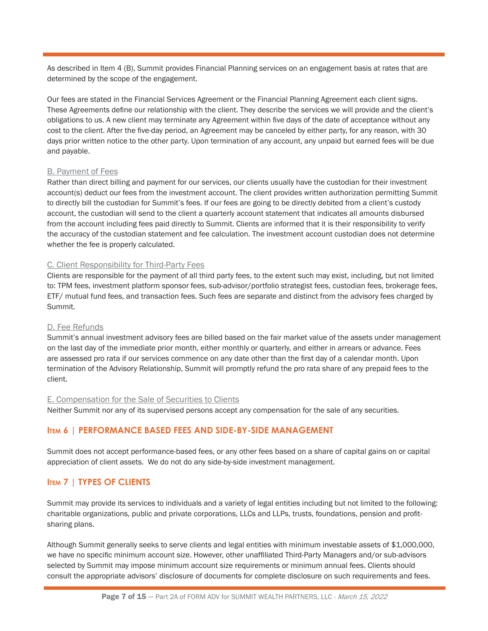As described in Item 4 (B), Summit provides Financial Planning services on an engagement basis at rates that are determined by the scope of the engagement.

Our fees are stated in the Financial Services Agreement or the Financial Planning Agreement each client signs. These Agreements define our relationship with the client. They describe the services we will provide and the client's obligations to us. A new client may terminate any Agreement within five days of the date of acceptance without any cost to the client. After the five-day period, an Agreement may be canceled by either party, for any reason, with 30 days prior written notice to the other party. Upon termination of any account, any unpaid but earned fees will be due and payable.

#### B. Payment of Fees

Rather than direct billing and payment for our services, our clients usually have the custodian for their investment account(s) deduct our fees from the investment account. The client provides written authorization permitting Summit to directly bill the custodian for Summit's fees. If our fees are going to be directly debited from a client's custody account, the custodian will send to the client a quarterly account statement that indicates all amounts disbursed from the account including fees paid directly to Summit. Clients are informed that it is their responsibility to verify the accuracy of the custodian statement and fee calculation. The investment account custodian does not determine whether the fee is properly calculated.

#### C. Client Responsibility for Third-Party Fees

Clients are responsible for the payment of all third party fees, to the extent such may exist, including, but not limited to: TPM fees, investment platform sponsor fees, sub-advisor/portfolio strategist fees, custodian fees, brokerage fees, ETF/ mutual fund fees, and transaction fees. Such fees are separate and distinct from the advisory fees charged by Summit.

#### D. Fee Refunds

Summit's annual investment advisory fees are billed based on the fair market value of the assets under management on the last day of the immediate prior month, either monthly or quarterly, and either in arrears or advance. Fees are assessed pro rata if our services commence on any date other than the first day of a calendar month. Upon termination of the Advisory Relationship, Summit will promptly refund the pro rata share of any prepaid fees to the client.

#### E. Compensation for the Sale of Securities to Clients

Neither Summit nor any of its supervised persons accept any compensation for the sale of any securities.

# **Item 6 | PERFORMANCE BASED FEES AND SIDE-BY-SIDE MANAGEMENT**

Summit does not accept performance-based fees, or any other fees based on a share of capital gains on or capital appreciation of client assets. We do not do any side-by-side investment management.

# **Item 7 | TYPES OF CLIENTS**

Summit may provide its services to individuals and a variety of legal entities including but not limited to the following: charitable organizations, public and private corporations, LLCs and LLPs, trusts, foundations, pension and profitsharing plans.

Although Summit generally seeks to serve clients and legal entities with minimum investable assets of \$1,000,000, we have no specific minimum account size. However, other unaffiliated Third-Party Managers and/or sub-advisors selected by Summit may impose minimum account size requirements or minimum annual fees. Clients should consult the appropriate advisors' disclosure of documents for complete disclosure on such requirements and fees.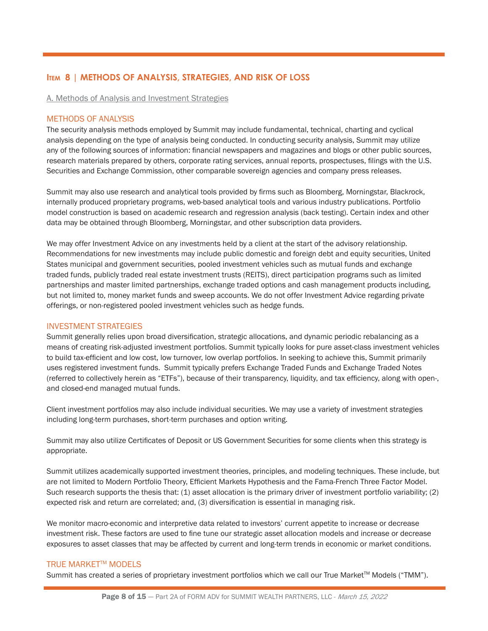# **Item 8 | METHODS OF ANALYSIS, STRATEGIES, AND RISK OF LOSS**

A. Methods of Analysis and Investment Strategies

#### METHODS OF ANALYSIS

The security analysis methods employed by Summit may include fundamental, technical, charting and cyclical analysis depending on the type of analysis being conducted. In conducting security analysis, Summit may utilize any of the following sources of information: financial newspapers and magazines and blogs or other public sources, research materials prepared by others, corporate rating services, annual reports, prospectuses, filings with the U.S. Securities and Exchange Commission, other comparable sovereign agencies and company press releases.

Summit may also use research and analytical tools provided by firms such as Bloomberg, Morningstar, Blackrock, internally produced proprietary programs, web-based analytical tools and various industry publications. Portfolio model construction is based on academic research and regression analysis (back testing). Certain index and other data may be obtained through Bloomberg, Morningstar, and other subscription data providers.

We may offer Investment Advice on any investments held by a client at the start of the advisory relationship. Recommendations for new investments may include public domestic and foreign debt and equity securities, United States municipal and government securities, pooled investment vehicles such as mutual funds and exchange traded funds, publicly traded real estate investment trusts (REITS), direct participation programs such as limited partnerships and master limited partnerships, exchange traded options and cash management products including, but not limited to, money market funds and sweep accounts. We do not offer Investment Advice regarding private offerings, or non-registered pooled investment vehicles such as hedge funds.

#### INVESTMENT STRATEGIES

Summit generally relies upon broad diversification, strategic allocations, and dynamic periodic rebalancing as a means of creating risk-adjusted investment portfolios. Summit typically looks for pure asset-class investment vehicles to build tax-efficient and low cost, low turnover, low overlap portfolios. In seeking to achieve this, Summit primarily uses registered investment funds. Summit typically prefers Exchange Traded Funds and Exchange Traded Notes (referred to collectively herein as "ETFs"), because of their transparency, liquidity, and tax efficiency, along with open-, and closed-end managed mutual funds.

Client investment portfolios may also include individual securities. We may use a variety of investment strategies including long-term purchases, short-term purchases and option writing.

Summit may also utilize Certificates of Deposit or US Government Securities for some clients when this strategy is appropriate.

Summit utilizes academically supported investment theories, principles, and modeling techniques. These include, but are not limited to Modern Portfolio Theory, Efficient Markets Hypothesis and the Fama-French Three Factor Model. Such research supports the thesis that: (1) asset allocation is the primary driver of investment portfolio variability; (2) expected risk and return are correlated; and, (3) diversification is essential in managing risk.

We monitor macro-economic and interpretive data related to investors' current appetite to increase or decrease investment risk. These factors are used to fine tune our strategic asset allocation models and increase or decrease exposures to asset classes that may be affected by current and long-term trends in economic or market conditions.

#### **TRUE MARKET™ MODELS**

Summit has created a series of proprietary investment portfolios which we call our True Market™ Models ("TMM").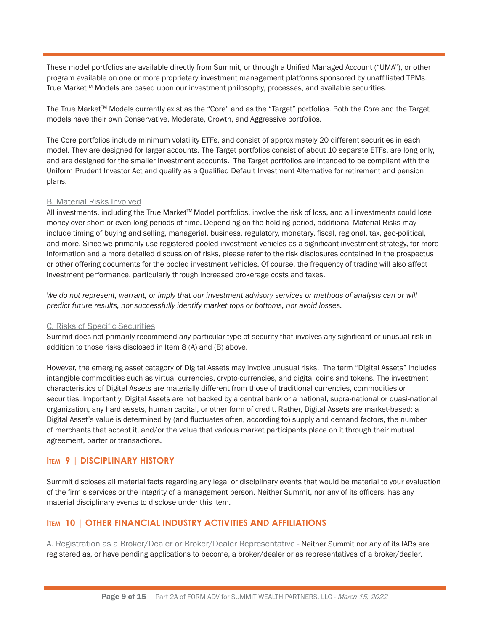These model portfolios are available directly from Summit, or through a Unified Managed Account ("UMA"), or other program available on one or more proprietary investment management platforms sponsored by unaffiliated TPMs. True Market™ Models are based upon our investment philosophy, processes, and available securities.

The True Market™ Models currently exist as the "Core" and as the "Target" portfolios. Both the Core and the Target models have their own Conservative, Moderate, Growth, and Aggressive portfolios.

The Core portfolios include minimum volatility ETFs, and consist of approximately 20 different securities in each model. They are designed for larger accounts. The Target portfolios consist of about 10 separate ETFs, are long only, and are designed for the smaller investment accounts. The Target portfolios are intended to be compliant with the Uniform Prudent Investor Act and qualify as a Qualified Default Investment Alternative for retirement and pension plans.

#### B. Material Risks Involved

All investments, including the True Market™ Model portfolios, involve the risk of loss, and all investments could lose money over short or even long periods of time. Depending on the holding period, additional Material Risks may include timing of buying and selling, managerial, business, regulatory, monetary, fiscal, regional, tax, geo-political, and more. Since we primarily use registered pooled investment vehicles as a significant investment strategy, for more information and a more detailed discussion of risks, please refer to the risk disclosures contained in the prospectus or other offering documents for the pooled investment vehicles. Of course, the frequency of trading will also affect investment performance, particularly through increased brokerage costs and taxes.

We do not represent, warrant, or imply that our investment advisory services or methods of analysis can or will *predict future results, nor successfully identify market tops or bottoms, nor avoid losses.*

#### C. Risks of Specific Securities

Summit does not primarily recommend any particular type of security that involves any significant or unusual risk in addition to those risks disclosed in Item 8 (A) and (B) above.

However, the emerging asset category of Digital Assets may involve unusual risks. The term "Digital Assets" includes intangible commodities such as virtual currencies, crypto-currencies, and digital coins and tokens. The investment characteristics of Digital Assets are materially different from those of traditional currencies, commodities or securities. Importantly, Digital Assets are not backed by a central bank or a national, supra-national or quasi-national organization, any hard assets, human capital, or other form of credit. Rather, Digital Assets are market-based: a Digital Asset's value is determined by (and fluctuates often, according to) supply and demand factors, the number of merchants that accept it, and/or the value that various market participants place on it through their mutual agreement, barter or transactions.

#### **Item 9 | DISCIPLINARY HISTORY**

Summit discloses all material facts regarding any legal or disciplinary events that would be material to your evaluation of the firm's services or the integrity of a management person. Neither Summit, nor any of its officers, has any material disciplinary events to disclose under this item.

## **Item 10 | OTHER FINANCIAL INDUSTRY ACTIVITIES AND AFFILIATIONS**

A. Registration as a Broker/Dealer or Broker/Dealer Representative - Neither Summit nor any of its IARs are registered as, or have pending applications to become, a broker/dealer or as representatives of a broker/dealer.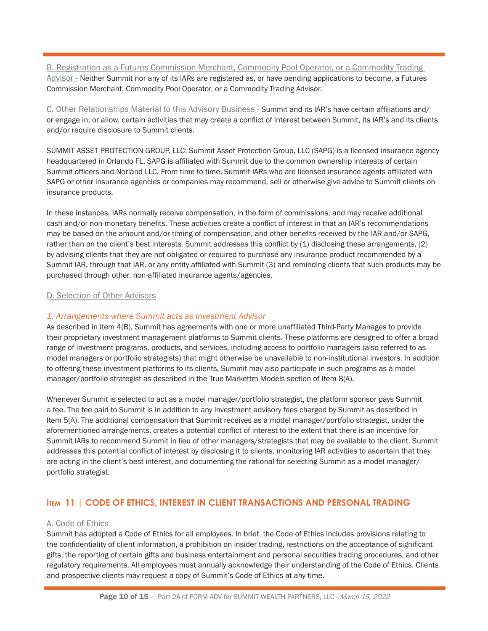B. Registration as a Futures Commission Merchant, Commodity Pool Operator, or a Commodity Trading Advisor - Neither Summit nor any of its IARs are registered as, or have pending applications to become, a Futures Commission Merchant, Commodity Pool Operator, or a Commodity Trading Advisor.

C. Other Relationships Material to this Advisory Business - Summit and its IAR's have certain affiliations and/ or engage in, or allow, certain activities that may create a conflict of interest between Summit, its IAR's and its clients and/or require disclosure to Summit clients.

SUMMIT ASSET PROTECTION GROUP, LLC: Summit Asset Protection Group, LLC (SAPG) is a licensed insurance agency headquartered in Orlando FL. SAPG is affiliated with Summit due to the common ownership interests of certain Summit officers and Norland LLC. From time to time, Summit IARs who are licensed insurance agents affiliated with SAPG or other insurance agencies or companies may recommend, sell or otherwise give advice to Summit clients on insurance products.

In these instances, IARs normally receive compensation, in the form of commissions, and may receive additional cash and/or non-monetary benefits. These activities create a conflict of interest in that an IAR's recommendations may be based on the amount and/or timing of compensation, and other benefits received by the IAR and/or SAPG, rather than on the client's best interests. Summit addresses this conflict by (1) disclosing these arrangements, (2) by advising clients that they are not obligated or required to purchase any insurance product recommended by a Summit IAR, through that IAR, or any entity affiliated with Summit (3) and reminding clients that such products may be purchased through other, non-affiliated insurance agents/agencies.

#### D. Selection of Other Advisors

#### *1. Arrangements where Summit acts as Investment Advisor*

As described in Item 4(B), Summit has agreements with one or more unaffiliated Third-Party Manages to provide their proprietary investment management platforms to Summit clients. These platforms are designed to offer a broad range of investment programs, products, and services, including access to portfolio managers (also referred to as model managers or portfolio strategists) that might otherwise be unavailable to non-institutional investors. In addition to offering these investment platforms to its clients, Summit may also participate in such programs as a model manager/portfolio strategist as described in the True Markettm Models section of Item 8(A).

Whenever Summit is selected to act as a model manager/portfolio strategist, the platform sponsor pays Summit a fee. The fee paid to Summit is in addition to any investment advisory fees charged by Summit as described in Item 5(A). The additional compensation that Summit receives as a model manager/portfolio strategist, under the aforementioned arrangements, creates a potential conflict of interest to the extent that there is an incentive for Summit IARs to recommend Summit in lieu of other managers/strategists that may be available to the client. Summit addresses this potential conflict of interest by disclosing it to clients, monitoring IAR activities to ascertain that they are acting in the client's best interest, and documenting the rational for selecting Summit as a model manager/ portfolio strategist.

#### **Item 11 | CODE OF ETHICS, INTEREST IN CLIENT TRANSACTIONS AND PERSONAL TRADING**

#### A. Code of Ethics

Summit has adopted a Code of Ethics for all employees. In brief, the Code of Ethics includes provisions relating to the confidentiality of client information, a prohibition on insider trading, restrictions on the acceptance of significant gifts, the reporting of certain gifts and business entertainment and personal securities trading procedures, and other regulatory requirements. All employees must annually acknowledge their understanding of the Code of Ethics. Clients and prospective clients may request a copy of Summit's Code of Ethics at any time.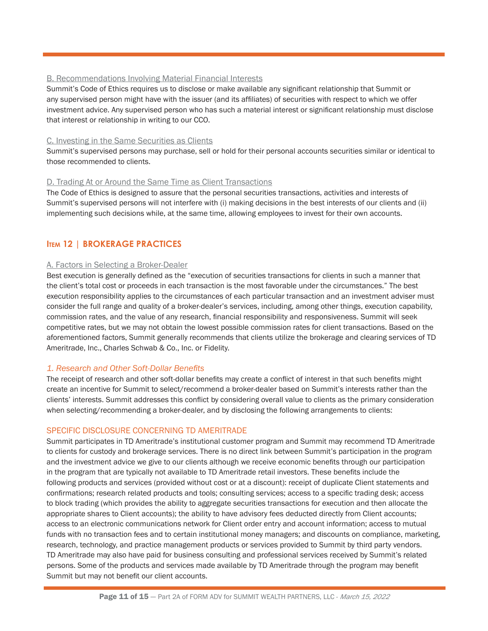#### B. Recommendations Involving Material Financial Interests

Summit's Code of Ethics requires us to disclose or make available any significant relationship that Summit or any supervised person might have with the issuer (and its affiliates) of securities with respect to which we offer investment advice. Any supervised person who has such a material interest or significant relationship must disclose that interest or relationship in writing to our CCO.

#### C. Investing in the Same Securities as Clients

Summit's supervised persons may purchase, sell or hold for their personal accounts securities similar or identical to those recommended to clients.

#### D. Trading At or Around the Same Time as Client Transactions

The Code of Ethics is designed to assure that the personal securities transactions, activities and interests of Summit's supervised persons will not interfere with (i) making decisions in the best interests of our clients and (ii) implementing such decisions while, at the same time, allowing employees to invest for their own accounts.

# **Item 12 | BROKERAGE PRACTICES**

#### A. Factors in Selecting a Broker-Dealer

Best execution is generally defined as the "execution of securities transactions for clients in such a manner that the client's total cost or proceeds in each transaction is the most favorable under the circumstances." The best execution responsibility applies to the circumstances of each particular transaction and an investment adviser must consider the full range and quality of a broker-dealer's services, including, among other things, execution capability, commission rates, and the value of any research, financial responsibility and responsiveness. Summit will seek competitive rates, but we may not obtain the lowest possible commission rates for client transactions. Based on the aforementioned factors, Summit generally recommends that clients utilize the brokerage and clearing services of TD Ameritrade, Inc., Charles Schwab & Co., Inc. or Fidelity.

#### *1. Research and Other Soft-Dollar Benefits*

The receipt of research and other soft-dollar benefits may create a conflict of interest in that such benefits might create an incentive for Summit to select/recommend a broker-dealer based on Summit's interests rather than the clients' interests. Summit addresses this conflict by considering overall value to clients as the primary consideration when selecting/recommending a broker-dealer, and by disclosing the following arrangements to clients:

#### SPECIFIC DISCLOSURE CONCERNING TD AMERITRADE

Summit participates in TD Ameritrade's institutional customer program and Summit may recommend TD Ameritrade to clients for custody and brokerage services. There is no direct link between Summit's participation in the program and the investment advice we give to our clients although we receive economic benefits through our participation in the program that are typically not available to TD Ameritrade retail investors. These benefits include the following products and services (provided without cost or at a discount): receipt of duplicate Client statements and confirmations; research related products and tools; consulting services; access to a specific trading desk; access to block trading (which provides the ability to aggregate securities transactions for execution and then allocate the appropriate shares to Client accounts); the ability to have advisory fees deducted directly from Client accounts; access to an electronic communications network for Client order entry and account information; access to mutual funds with no transaction fees and to certain institutional money managers; and discounts on compliance, marketing, research, technology, and practice management products or services provided to Summit by third party vendors. TD Ameritrade may also have paid for business consulting and professional services received by Summit's related persons. Some of the products and services made available by TD Ameritrade through the program may benefit Summit but may not benefit our client accounts.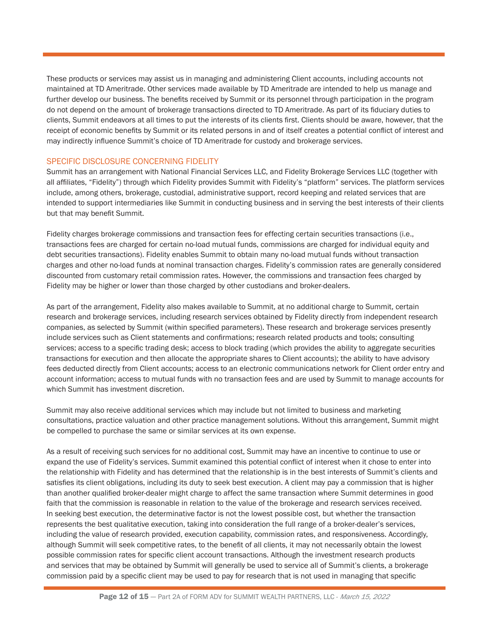These products or services may assist us in managing and administering Client accounts, including accounts not maintained at TD Ameritrade. Other services made available by TD Ameritrade are intended to help us manage and further develop our business. The benefits received by Summit or its personnel through participation in the program do not depend on the amount of brokerage transactions directed to TD Ameritrade. As part of its fiduciary duties to clients, Summit endeavors at all times to put the interests of its clients first. Clients should be aware, however, that the receipt of economic benefits by Summit or its related persons in and of itself creates a potential conflict of interest and may indirectly influence Summit's choice of TD Ameritrade for custody and brokerage services.

#### SPECIFIC DISCLOSURE CONCERNING FIDELITY

Summit has an arrangement with National Financial Services LLC, and Fidelity Brokerage Services LLC (together with all affiliates, "Fidelity") through which Fidelity provides Summit with Fidelity's "platform" services. The platform services include, among others, brokerage, custodial, administrative support, record keeping and related services that are intended to support intermediaries like Summit in conducting business and in serving the best interests of their clients but that may benefit Summit.

Fidelity charges brokerage commissions and transaction fees for effecting certain securities transactions (i.e., transactions fees are charged for certain no-load mutual funds, commissions are charged for individual equity and debt securities transactions). Fidelity enables Summit to obtain many no-load mutual funds without transaction charges and other no-load funds at nominal transaction charges. Fidelity's commission rates are generally considered discounted from customary retail commission rates. However, the commissions and transaction fees charged by Fidelity may be higher or lower than those charged by other custodians and broker-dealers.

As part of the arrangement, Fidelity also makes available to Summit, at no additional charge to Summit, certain research and brokerage services, including research services obtained by Fidelity directly from independent research companies, as selected by Summit (within specified parameters). These research and brokerage services presently include services such as Client statements and confirmations; research related products and tools; consulting services; access to a specific trading desk; access to block trading (which provides the ability to aggregate securities transactions for execution and then allocate the appropriate shares to Client accounts); the ability to have advisory fees deducted directly from Client accounts; access to an electronic communications network for Client order entry and account information; access to mutual funds with no transaction fees and are used by Summit to manage accounts for which Summit has investment discretion.

Summit may also receive additional services which may include but not limited to business and marketing consultations, practice valuation and other practice management solutions. Without this arrangement, Summit might be compelled to purchase the same or similar services at its own expense.

As a result of receiving such services for no additional cost, Summit may have an incentive to continue to use or expand the use of Fidelity's services. Summit examined this potential conflict of interest when it chose to enter into the relationship with Fidelity and has determined that the relationship is in the best interests of Summit's clients and satisfies its client obligations, including its duty to seek best execution. A client may pay a commission that is higher than another qualified broker-dealer might charge to affect the same transaction where Summit determines in good faith that the commission is reasonable in relation to the value of the brokerage and research services received. In seeking best execution, the determinative factor is not the lowest possible cost, but whether the transaction represents the best qualitative execution, taking into consideration the full range of a broker-dealer's services, including the value of research provided, execution capability, commission rates, and responsiveness. Accordingly, although Summit will seek competitive rates, to the benefit of all clients, it may not necessarily obtain the lowest possible commission rates for specific client account transactions. Although the investment research products and services that may be obtained by Summit will generally be used to service all of Summit's clients, a brokerage commission paid by a specific client may be used to pay for research that is not used in managing that specific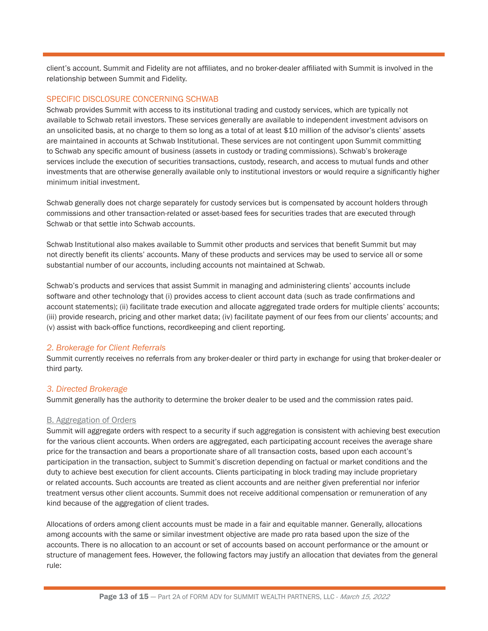client's account. Summit and Fidelity are not affiliates, and no broker-dealer affiliated with Summit is involved in the relationship between Summit and Fidelity.

#### SPECIFIC DISCLOSURE CONCERNING SCHWAB

Schwab provides Summit with access to its institutional trading and custody services, which are typically not available to Schwab retail investors. These services generally are available to independent investment advisors on an unsolicited basis, at no charge to them so long as a total of at least \$10 million of the advisor's clients' assets are maintained in accounts at Schwab Institutional. These services are not contingent upon Summit committing to Schwab any specific amount of business (assets in custody or trading commissions). Schwab's brokerage services include the execution of securities transactions, custody, research, and access to mutual funds and other investments that are otherwise generally available only to institutional investors or would require a significantly higher minimum initial investment.

Schwab generally does not charge separately for custody services but is compensated by account holders through commissions and other transaction-related or asset-based fees for securities trades that are executed through Schwab or that settle into Schwab accounts.

Schwab Institutional also makes available to Summit other products and services that benefit Summit but may not directly benefit its clients' accounts. Many of these products and services may be used to service all or some substantial number of our accounts, including accounts not maintained at Schwab.

Schwab's products and services that assist Summit in managing and administering clients' accounts include software and other technology that (i) provides access to client account data (such as trade confirmations and account statements); (ii) facilitate trade execution and allocate aggregated trade orders for multiple clients' accounts; (iii) provide research, pricing and other market data; (iv) facilitate payment of our fees from our clients' accounts; and (v) assist with back-office functions, recordkeeping and client reporting.

#### *2. Brokerage for Client Referrals*

Summit currently receives no referrals from any broker-dealer or third party in exchange for using that broker-dealer or third party.

#### *3. Directed Brokerage*

Summit generally has the authority to determine the broker dealer to be used and the commission rates paid.

#### B. Aggregation of Orders

Summit will aggregate orders with respect to a security if such aggregation is consistent with achieving best execution for the various client accounts. When orders are aggregated, each participating account receives the average share price for the transaction and bears a proportionate share of all transaction costs, based upon each account's participation in the transaction, subject to Summit's discretion depending on factual or market conditions and the duty to achieve best execution for client accounts. Clients participating in block trading may include proprietary or related accounts. Such accounts are treated as client accounts and are neither given preferential nor inferior treatment versus other client accounts. Summit does not receive additional compensation or remuneration of any kind because of the aggregation of client trades.

Allocations of orders among client accounts must be made in a fair and equitable manner. Generally, allocations among accounts with the same or similar investment objective are made pro rata based upon the size of the accounts. There is no allocation to an account or set of accounts based on account performance or the amount or structure of management fees. However, the following factors may justify an allocation that deviates from the general rule: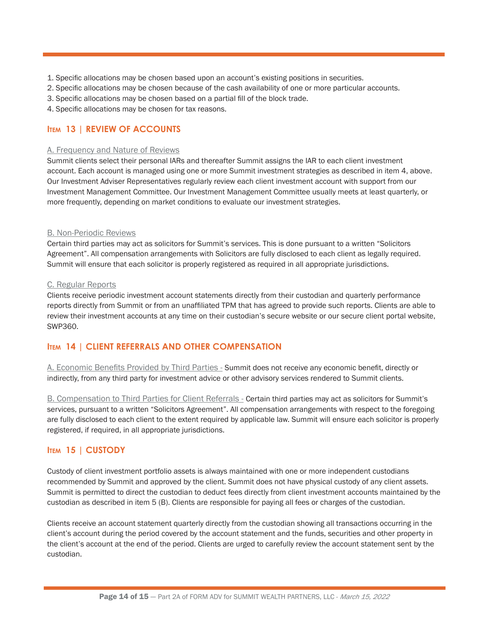- 1. Specific allocations may be chosen based upon an account's existing positions in securities.
- 2. Specific allocations may be chosen because of the cash availability of one or more particular accounts.
- 3. Specific allocations may be chosen based on a partial fill of the block trade.
- 4. Specific allocations may be chosen for tax reasons.

# **Item 13 | REVIEW OF ACCOUNTS**

#### A. Frequency and Nature of Reviews

Summit clients select their personal IARs and thereafter Summit assigns the IAR to each client investment account. Each account is managed using one or more Summit investment strategies as described in item 4, above. Our Investment Adviser Representatives regularly review each client investment account with support from our Investment Management Committee. Our Investment Management Committee usually meets at least quarterly, or more frequently, depending on market conditions to evaluate our investment strategies.

#### B. Non-Periodic Reviews

Certain third parties may act as solicitors for Summit's services. This is done pursuant to a written "Solicitors Agreement". All compensation arrangements with Solicitors are fully disclosed to each client as legally required. Summit will ensure that each solicitor is properly registered as required in all appropriate jurisdictions.

#### C. Regular Reports

Clients receive periodic investment account statements directly from their custodian and quarterly performance reports directly from Summit or from an unaffiliated TPM that has agreed to provide such reports. Clients are able to review their investment accounts at any time on their custodian's secure website or our secure client portal website, SWP360.

# **Item 14 | CLIENT REFERRALS AND OTHER COMPENSATION**

A. Economic Benefits Provided by Third Parties - Summit does not receive any economic benefit, directly or indirectly, from any third party for investment advice or other advisory services rendered to Summit clients.

B. Compensation to Third Parties for Client Referrals - Certain third parties may act as solicitors for Summit's services, pursuant to a written "Solicitors Agreement". All compensation arrangements with respect to the foregoing are fully disclosed to each client to the extent required by applicable law. Summit will ensure each solicitor is properly registered, if required, in all appropriate jurisdictions.

# **Item 15 | CUSTODY**

Custody of client investment portfolio assets is always maintained with one or more independent custodians recommended by Summit and approved by the client. Summit does not have physical custody of any client assets. Summit is permitted to direct the custodian to deduct fees directly from client investment accounts maintained by the custodian as described in item 5 (B). Clients are responsible for paying all fees or charges of the custodian.

Clients receive an account statement quarterly directly from the custodian showing all transactions occurring in the client's account during the period covered by the account statement and the funds, securities and other property in the client's account at the end of the period. Clients are urged to carefully review the account statement sent by the custodian.